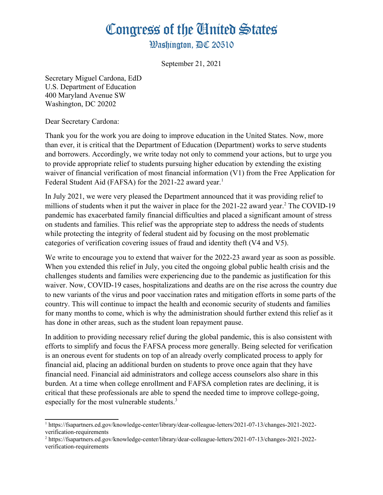## Congress of the Ginited States

**Washington. AC 20510** 

September 21, 2021

Secretary Miguel Cardona, EdD U.S. Department of Education 400 Maryland Avenue SW Washington, DC 20202

Dear Secretary Cardona:

Thank you for the work you are doing to improve education in the United States. Now, more than ever, it is critical that the Department of Education (Department) works to serve students and borrowers. Accordingly, we write today not only to commend your actions, but to urge you to provide appropriate relief to students pursuing higher education by extending the existing waiver of financial verification of most financial information (V1) from the Free Application for Federal Student Aid (FAFSA) for the 202[1](#page-0-0)-22 award year.<sup>1</sup>

In July 2021, we were very pleased the Department announced that it was providing relief to millions of students when it put the waiver in place for the  $2021-22$  $2021-22$  award year.<sup>2</sup> The COVID-19 pandemic has exacerbated family financial difficulties and placed a significant amount of stress on students and families. This relief was the appropriate step to address the needs of students while protecting the integrity of federal student aid by focusing on the most problematic categories of verification covering issues of fraud and identity theft (V4 and V5).

We write to encourage you to extend that waiver for the 2022-23 award year as soon as possible. When you extended this relief in July, you cited the ongoing global public health crisis and the challenges students and families were experiencing due to the pandemic as justification for this waiver. Now, COVID-19 cases, hospitalizations and deaths are on the rise across the country due to new variants of the virus and poor vaccination rates and mitigation efforts in some parts of the country. This will continue to impact the health and economic security of students and families for many months to come, which is why the administration should further extend this relief as it has done in other areas, such as the student loan repayment pause.

In addition to providing necessary relief during the global pandemic, this is also consistent with efforts to simplify and focus the FAFSA process more generally. Being selected for verification is an onerous event for students on top of an already overly complicated process to apply for financial aid, placing an additional burden on students to prove once again that they have financial need. Financial aid administrators and college access counselors also share in this burden. At a time when college enrollment and FAFSA completion rates are declining, it is critical that these professionals are able to spend the needed time to improve college-going, especially for the most vulnerable students.<sup>3</sup>

<span id="page-0-0"></span><sup>1</sup> https://fsapartners.ed.gov/knowledge-center/library/dear-colleague-letters/2021-07-13/changes-2021-2022 verification-requirements

<span id="page-0-1"></span><sup>2</sup> https://fsapartners.ed.gov/knowledge-center/library/dear-colleague-letters/2021-07-13/changes-2021-2022 verification-requirements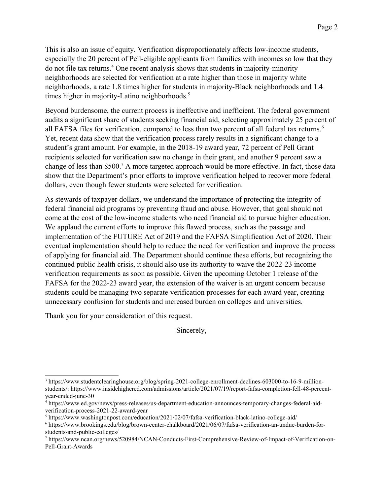This is also an issue of equity. Verification disproportionately affects low-income students, especially the 20 percent of Pell-eligible applicants from families with incomes so low that they do not file tax returns.<sup>[4](#page-1-0)</sup> One recent analysis shows that students in majority-minority neighborhoods are selected for verification at a rate higher than those in majority white neighborhoods, a rate 1.8 times higher for students in majority-Black neighborhoods and 1.4 times higher in majority-Latino neighborhoods.<sup>[5](#page-1-1)</sup>

Beyond burdensome, the current process is ineffective and inefficient. The federal government audits a significant share of students seeking financial aid, selecting approximately 25 percent of all FAFSA files for verification, compared to less than two percent of all federal tax returns.<sup>[6](#page-1-2)</sup> Yet, recent data show that the verification process rarely results in a significant change to a student's grant amount. For example, in the 2018-19 award year, 72 percent of Pell Grant recipients selected for verification saw no change in their grant, and another 9 percent saw a change of less than \$500.<sup>[7](#page-1-3)</sup> A more targeted approach would be more effective. In fact, those data show that the Department's prior efforts to improve verification helped to recover more federal dollars, even though fewer students were selected for verification.

As stewards of taxpayer dollars, we understand the importance of protecting the integrity of federal financial aid programs by preventing fraud and abuse. However, that goal should not come at the cost of the low-income students who need financial aid to pursue higher education. We applaud the current efforts to improve this flawed process, such as the passage and implementation of the FUTURE Act of 2019 and the FAFSA Simplification Act of 2020. Their eventual implementation should help to reduce the need for verification and improve the process of applying for financial aid. The Department should continue these efforts, but recognizing the continued public health crisis, it should also use its authority to waive the 2022-23 income verification requirements as soon as possible. Given the upcoming October 1 release of the FAFSA for the 2022-23 award year, the extension of the waiver is an urgent concern because students could be managing two separate verification processes for each award year, creating unnecessary confusion for students and increased burden on colleges and universities.

Thank you for your consideration of this request.

Sincerely,

<sup>3</sup> https://www.studentclearinghouse.org/blog/spring-2021-college-enrollment-declines-603000-to-16-9-millionstudents/: https://www.insidehighered.com/admissions/article/2021/07/19/report-fafsa-completion-fell-48-percentyear-ended-june-30

<span id="page-1-0"></span><sup>4</sup> https://www.ed.gov/news/press-releases/us-department-education-announces-temporary-changes-federal-aidverification-process-2021-22-award-year

<span id="page-1-1"></span><sup>&</sup>lt;sup>5</sup> https://www.washingtonpost.com/education/2021/02/07/fafsa-verification-black-latino-college-aid/

<span id="page-1-2"></span><sup>6</sup> https://www.brookings.edu/blog/brown-center-chalkboard/2021/06/07/fafsa-verification-an-undue-burden-forstudents-and-public-colleges/

<span id="page-1-3"></span><sup>7</sup> https://www.ncan.org/news/520984/NCAN-Conducts-First-Comprehensive-Review-of-Impact-of-Verification-on-Pell-Grant-Awards